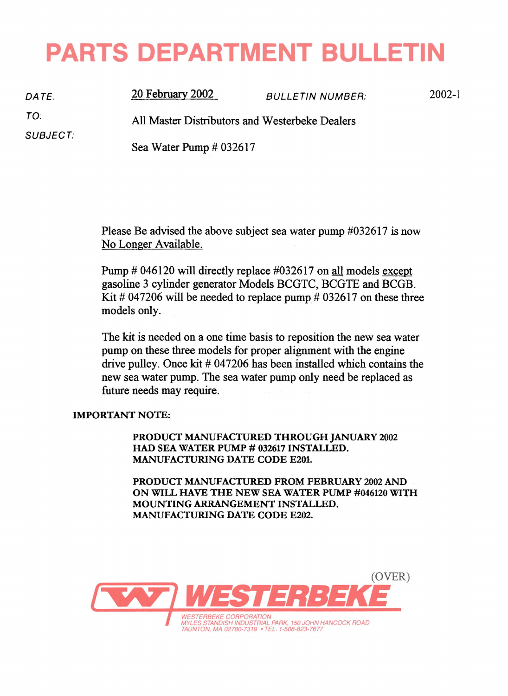## **PARTS DEPARTMENT BULLETIN**

*DATE.*  TO: SUBJECT: 20 February 2002 BULLETIN NUMBER: All Master Distributors and Westerbeke Dealers Sea Water Pump # 032617 2002-1

> Please Be advised the above subject sea water pump #032617 is now No Longer Available.

> Pump # 046120 will directly replace #032617 on all models except gasoline 3 cylinder generator Models BCGTC, BCGTE and BCGB. Kit  $\#$  047206 will be needed to replace pump  $\#$  032617 on these three models only.

> The kit is needed on a one time basis to reposition the new sea water pump on these three models for proper alignment with the engine drive pulley. Once kit # 047206 has been installed which contains the new sea water pump. The sea water pump only need be replaced as future needs may require.

## IMPORTANT NOTE:

PRODUCT MANUFACTURED THROUGH JANUARY 2Q02 HAD SEA WATER PUMP # 032617 INSTALLED. MANUFACTURING DATE CODE E201.

PRODUCT MANUFACTURED FROM FEBRUARY 2002 AND ON WILL HAVE THE NEW SEA WATER PUMP #046120 WITH MOUNTING ARRANGEMENT INSTALLED. MANUFACTURING DATE CODE E202.